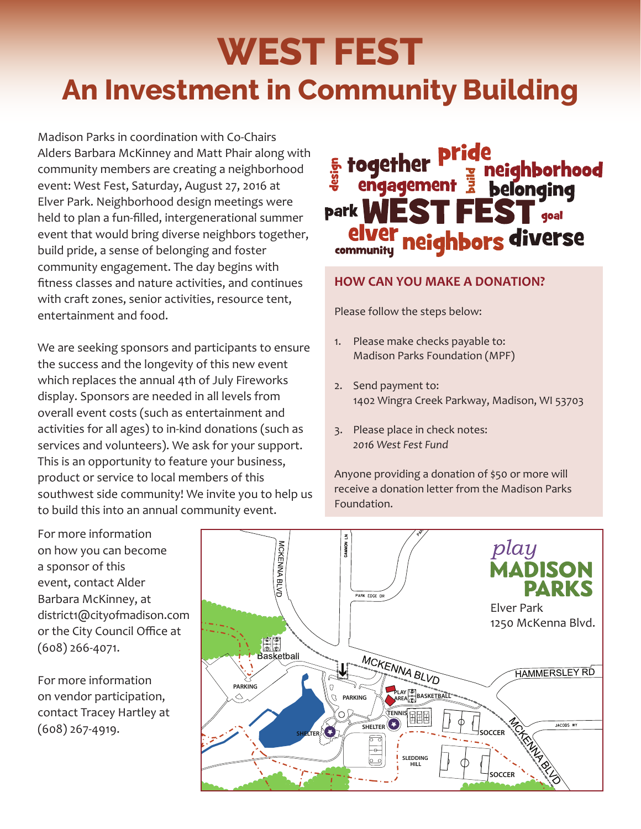# **WEST FEST An Investment in Community Building**

Madison Parks in coordination with Co-Chairs Alders Barbara McKinney and Matt Phair along with community members are creating a neighborhood event: West Fest, Saturday, August 27, 2016 at Elver Park. Neighborhood design meetings were held to plan a fun-filled, intergenerational summer event that would bring diverse neighbors together, build pride, a sense of belonging and foster community engagement. The day begins with fitness classes and nature activities, and continues with craft zones, senior activities, resource tent, entertainment and food.

We are seeking sponsors and participants to ensure the success and the longevity of this new event which replaces the annual 4th of July Fireworks display. Sponsors are needed in all levels from overall event costs (such as entertainment and activities for all ages) to in-kind donations (such as services and volunteers). We ask for your support. This is an opportunity to feature your business, product or service to local members of this southwest side community! We invite you to help us to build this into an annual community event.

### **s** together Prige<br>a engagement a belonging ENNE park **V**  $\Gamma$  doal neighbors diverse communitu

#### **HOW CAN YOU MAKE A DONATION?**

Please follow the steps below:

- 1. Please make checks payable to: Madison Parks Foundation (MPF)
- 2. Send payment to: 1402 Wingra Creek Parkway, Madison, WI 53703
- 3. Please place in check notes: *2016 West Fest Fund*

Anyone providing a donation of \$50 or more will receive a donation letter from the Madison Parks Foundation.

For more information on how you can become a sponsor of this event, contact Alder Barbara McKinney, at district1@cityofmadison.com or the City Council Office at (608) 266-4071.

For more information on vendor participation, contact Tracey Hartley at (608) 267-4919.